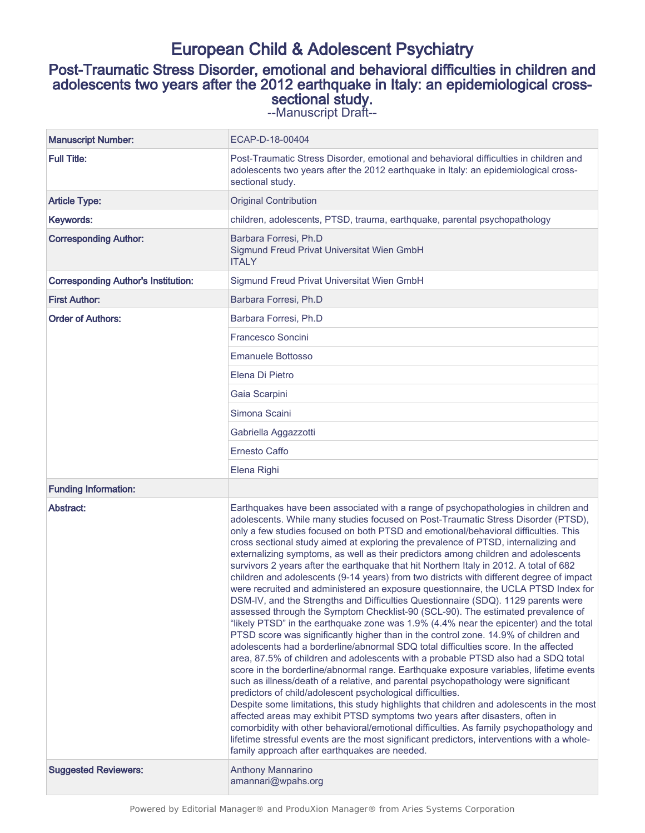# European Child & Adolescent Psychiatry

## Post-Traumatic Stress Disorder, emotional and behavioral difficulties in children and adolescents two years after the 2012 earthquake in Italy: an epidemiological crosssectional study.

--Manuscript Draft--

| <b>Manuscript Number:</b>                  | ECAP-D-18-00404                                                                                                                                                                                                                                                                                                                                                                                                                                                                                                                                                                                                                                                                                                                                                                                                                                                                                                                                                                                                                                                                                                                                                                                                                                                                                                                                                                                                                                                                                                                                                                                                                                                                                                                                                                                                                                                                                                                 |
|--------------------------------------------|---------------------------------------------------------------------------------------------------------------------------------------------------------------------------------------------------------------------------------------------------------------------------------------------------------------------------------------------------------------------------------------------------------------------------------------------------------------------------------------------------------------------------------------------------------------------------------------------------------------------------------------------------------------------------------------------------------------------------------------------------------------------------------------------------------------------------------------------------------------------------------------------------------------------------------------------------------------------------------------------------------------------------------------------------------------------------------------------------------------------------------------------------------------------------------------------------------------------------------------------------------------------------------------------------------------------------------------------------------------------------------------------------------------------------------------------------------------------------------------------------------------------------------------------------------------------------------------------------------------------------------------------------------------------------------------------------------------------------------------------------------------------------------------------------------------------------------------------------------------------------------------------------------------------------------|
| <b>Full Title:</b>                         | Post-Traumatic Stress Disorder, emotional and behavioral difficulties in children and<br>adolescents two years after the 2012 earthquake in Italy: an epidemiological cross-<br>sectional study.                                                                                                                                                                                                                                                                                                                                                                                                                                                                                                                                                                                                                                                                                                                                                                                                                                                                                                                                                                                                                                                                                                                                                                                                                                                                                                                                                                                                                                                                                                                                                                                                                                                                                                                                |
| <b>Article Type:</b>                       | <b>Original Contribution</b>                                                                                                                                                                                                                                                                                                                                                                                                                                                                                                                                                                                                                                                                                                                                                                                                                                                                                                                                                                                                                                                                                                                                                                                                                                                                                                                                                                                                                                                                                                                                                                                                                                                                                                                                                                                                                                                                                                    |
| Keywords:                                  | children, adolescents, PTSD, trauma, earthquake, parental psychopathology                                                                                                                                                                                                                                                                                                                                                                                                                                                                                                                                                                                                                                                                                                                                                                                                                                                                                                                                                                                                                                                                                                                                                                                                                                                                                                                                                                                                                                                                                                                                                                                                                                                                                                                                                                                                                                                       |
| <b>Corresponding Author:</b>               | Barbara Forresi, Ph.D<br>Sigmund Freud Privat Universitat Wien GmbH<br><b>ITALY</b>                                                                                                                                                                                                                                                                                                                                                                                                                                                                                                                                                                                                                                                                                                                                                                                                                                                                                                                                                                                                                                                                                                                                                                                                                                                                                                                                                                                                                                                                                                                                                                                                                                                                                                                                                                                                                                             |
| <b>Corresponding Author's Institution:</b> | Sigmund Freud Privat Universitat Wien GmbH                                                                                                                                                                                                                                                                                                                                                                                                                                                                                                                                                                                                                                                                                                                                                                                                                                                                                                                                                                                                                                                                                                                                                                                                                                                                                                                                                                                                                                                                                                                                                                                                                                                                                                                                                                                                                                                                                      |
| <b>First Author:</b>                       | Barbara Forresi, Ph.D                                                                                                                                                                                                                                                                                                                                                                                                                                                                                                                                                                                                                                                                                                                                                                                                                                                                                                                                                                                                                                                                                                                                                                                                                                                                                                                                                                                                                                                                                                                                                                                                                                                                                                                                                                                                                                                                                                           |
| <b>Order of Authors:</b>                   | Barbara Forresi, Ph.D                                                                                                                                                                                                                                                                                                                                                                                                                                                                                                                                                                                                                                                                                                                                                                                                                                                                                                                                                                                                                                                                                                                                                                                                                                                                                                                                                                                                                                                                                                                                                                                                                                                                                                                                                                                                                                                                                                           |
|                                            | <b>Francesco Soncini</b>                                                                                                                                                                                                                                                                                                                                                                                                                                                                                                                                                                                                                                                                                                                                                                                                                                                                                                                                                                                                                                                                                                                                                                                                                                                                                                                                                                                                                                                                                                                                                                                                                                                                                                                                                                                                                                                                                                        |
|                                            | Emanuele Bottosso                                                                                                                                                                                                                                                                                                                                                                                                                                                                                                                                                                                                                                                                                                                                                                                                                                                                                                                                                                                                                                                                                                                                                                                                                                                                                                                                                                                                                                                                                                                                                                                                                                                                                                                                                                                                                                                                                                               |
|                                            | Elena Di Pietro                                                                                                                                                                                                                                                                                                                                                                                                                                                                                                                                                                                                                                                                                                                                                                                                                                                                                                                                                                                                                                                                                                                                                                                                                                                                                                                                                                                                                                                                                                                                                                                                                                                                                                                                                                                                                                                                                                                 |
|                                            | Gaia Scarpini                                                                                                                                                                                                                                                                                                                                                                                                                                                                                                                                                                                                                                                                                                                                                                                                                                                                                                                                                                                                                                                                                                                                                                                                                                                                                                                                                                                                                                                                                                                                                                                                                                                                                                                                                                                                                                                                                                                   |
|                                            | Simona Scaini                                                                                                                                                                                                                                                                                                                                                                                                                                                                                                                                                                                                                                                                                                                                                                                                                                                                                                                                                                                                                                                                                                                                                                                                                                                                                                                                                                                                                                                                                                                                                                                                                                                                                                                                                                                                                                                                                                                   |
|                                            | Gabriella Aggazzotti                                                                                                                                                                                                                                                                                                                                                                                                                                                                                                                                                                                                                                                                                                                                                                                                                                                                                                                                                                                                                                                                                                                                                                                                                                                                                                                                                                                                                                                                                                                                                                                                                                                                                                                                                                                                                                                                                                            |
|                                            | <b>Ernesto Caffo</b>                                                                                                                                                                                                                                                                                                                                                                                                                                                                                                                                                                                                                                                                                                                                                                                                                                                                                                                                                                                                                                                                                                                                                                                                                                                                                                                                                                                                                                                                                                                                                                                                                                                                                                                                                                                                                                                                                                            |
|                                            | Elena Righi                                                                                                                                                                                                                                                                                                                                                                                                                                                                                                                                                                                                                                                                                                                                                                                                                                                                                                                                                                                                                                                                                                                                                                                                                                                                                                                                                                                                                                                                                                                                                                                                                                                                                                                                                                                                                                                                                                                     |
| <b>Funding Information:</b>                |                                                                                                                                                                                                                                                                                                                                                                                                                                                                                                                                                                                                                                                                                                                                                                                                                                                                                                                                                                                                                                                                                                                                                                                                                                                                                                                                                                                                                                                                                                                                                                                                                                                                                                                                                                                                                                                                                                                                 |
| Abstract:                                  | Earthquakes have been associated with a range of psychopathologies in children and<br>adolescents. While many studies focused on Post-Traumatic Stress Disorder (PTSD),<br>only a few studies focused on both PTSD and emotional/behavioral difficulties. This<br>cross sectional study aimed at exploring the prevalence of PTSD, internalizing and<br>externalizing symptoms, as well as their predictors among children and adolescents<br>survivors 2 years after the earthquake that hit Northern Italy in 2012. A total of 682<br>children and adolescents (9-14 years) from two districts with different degree of impact<br>were recruited and administered an exposure questionnaire, the UCLA PTSD Index for<br>DSM-IV, and the Strengths and Difficulties Questionnaire (SDQ). 1129 parents were<br>assessed through the Symptom Checklist-90 (SCL-90). The estimated prevalence of<br>"likely PTSD" in the earthquake zone was 1.9% (4.4% near the epicenter) and the total<br>PTSD score was significantly higher than in the control zone. 14.9% of children and<br>adolescents had a borderline/abnormal SDQ total difficulties score. In the affected<br>area, 87.5% of children and adolescents with a probable PTSD also had a SDQ total<br>score in the borderline/abnormal range. Earthquake exposure variables, lifetime events<br>such as illness/death of a relative, and parental psychopathology were significant<br>predictors of child/adolescent psychological difficulties.<br>Despite some limitations, this study highlights that children and adolescents in the most<br>affected areas may exhibit PTSD symptoms two years after disasters, often in<br>comorbidity with other behavioral/emotional difficulties. As family psychopathology and<br>lifetime stressful events are the most significant predictors, interventions with a whole-<br>family approach after earthquakes are needed. |
| <b>Suggested Reviewers:</b>                | Anthony Mannarino<br>amannari@wpahs.org                                                                                                                                                                                                                                                                                                                                                                                                                                                                                                                                                                                                                                                                                                                                                                                                                                                                                                                                                                                                                                                                                                                                                                                                                                                                                                                                                                                                                                                                                                                                                                                                                                                                                                                                                                                                                                                                                         |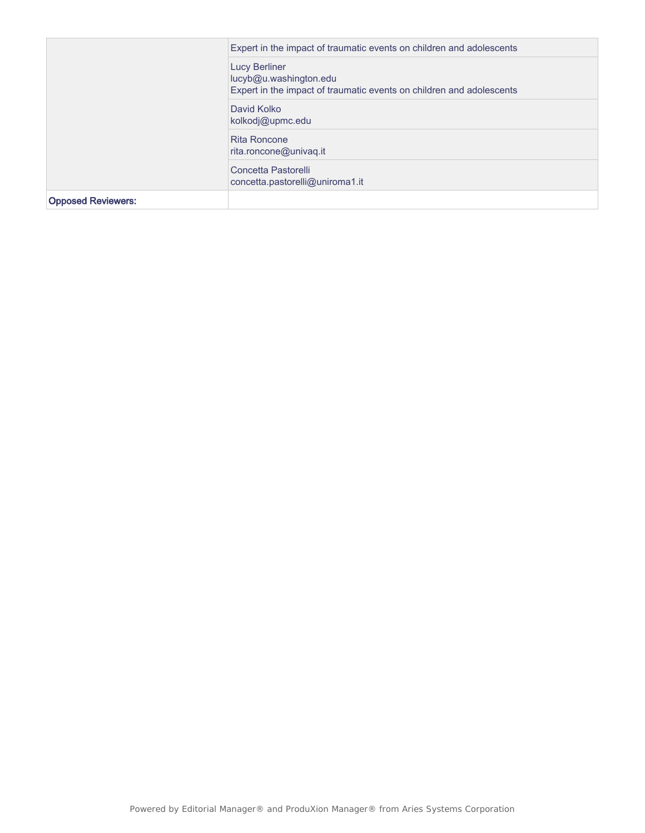|                           | Expert in the impact of traumatic events on children and adolescents                                                   |
|---------------------------|------------------------------------------------------------------------------------------------------------------------|
|                           | <b>Lucy Berliner</b><br>lucyb@u.washington.edu<br>Expert in the impact of traumatic events on children and adolescents |
|                           | David Kolko<br>kolkodj@upmc.edu                                                                                        |
|                           | Rita Roncone<br>rita.roncone@univaq.it                                                                                 |
|                           | Concetta Pastorelli<br>concetta.pastorelli@uniroma1.it                                                                 |
| <b>Opposed Reviewers:</b> |                                                                                                                        |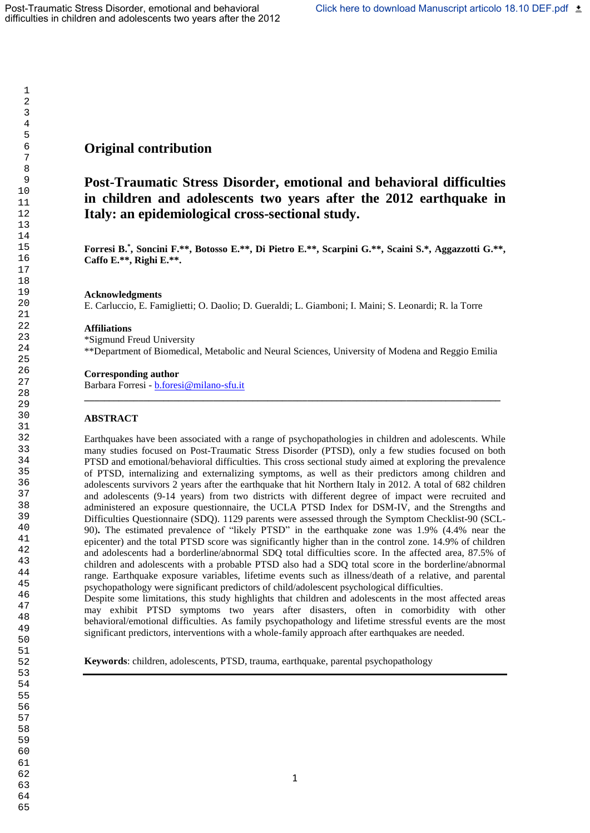## **Original contribution**

## **Post-Traumatic Stress Disorder, emotional and behavioral difficulties in children and adolescents two years after the 2012 earthquake in Italy: an epidemiological cross-sectional study.**

**Forresi B. \* , Soncini F.\*\*, Botosso E.\*\*, Di Pietro E.\*\*, Scarpini G.\*\*, Scaini S.\*, Aggazzotti G.\*\*, Caffo E.\*\*, Righi E.\*\*.** 

## **Acknowledgments**

E. Carluccio, E. Famiglietti; O. Daolio; D. Gueraldi; L. Giamboni; I. Maini; S. Leonardi; R. la Torre

## **Affiliations**

\*Sigmund Freud University \*\*Department of Biomedical, Metabolic and Neural Sciences, University of Modena and Reggio Emilia

**\_\_\_\_\_\_\_\_\_\_\_\_\_\_\_\_\_\_\_\_\_\_\_\_\_\_\_\_\_\_\_\_\_\_\_\_\_\_\_\_\_\_\_\_\_\_\_\_\_\_\_\_\_\_\_\_\_\_\_\_\_\_\_\_\_\_\_\_\_\_\_\_\_\_\_\_\_\_\_\_\_\_\_\_**

## **Corresponding author**

Barbara Forresi - [b.foresi@milano-sfu.it](mailto:b.foresi@milano-sfu.it)

## **ABSTRACT**

Earthquakes have been associated with a range of psychopathologies in children and adolescents. While many studies focused on Post-Traumatic Stress Disorder (PTSD), only a few studies focused on both PTSD and emotional/behavioral difficulties. This cross sectional study aimed at exploring the prevalence of PTSD, internalizing and externalizing symptoms, as well as their predictors among children and adolescents survivors 2 years after the earthquake that hit Northern Italy in 2012. A total of 682 children and adolescents (9-14 years) from two districts with different degree of impact were recruited and administered an exposure questionnaire, the UCLA PTSD Index for DSM-IV, and the Strengths and Difficulties Questionnaire (SDQ). 1129 parents were assessed through the Symptom Checklist-90 (SCL-90)**.** The estimated prevalence of "likely PTSD" in the earthquake zone was 1.9% (4.4% near the epicenter) and the total PTSD score was significantly higher than in the control zone. 14.9% of children and adolescents had a borderline/abnormal SDQ total difficulties score. In the affected area, 87.5% of children and adolescents with a probable PTSD also had a SDQ total score in the borderline/abnormal range. Earthquake exposure variables, lifetime events such as illness/death of a relative, and parental psychopathology were significant predictors of child/adolescent psychological difficulties. Despite some limitations, this study highlights that children and adolescents in the most affected areas

may exhibit PTSD symptoms two years after disasters, often in comorbidity with other behavioral/emotional difficulties. As family psychopathology and lifetime stressful events are the most significant predictors, interventions with a whole-family approach after earthquakes are needed.

**Keywords**: children, adolescents, PTSD, trauma, earthquake, parental psychopathology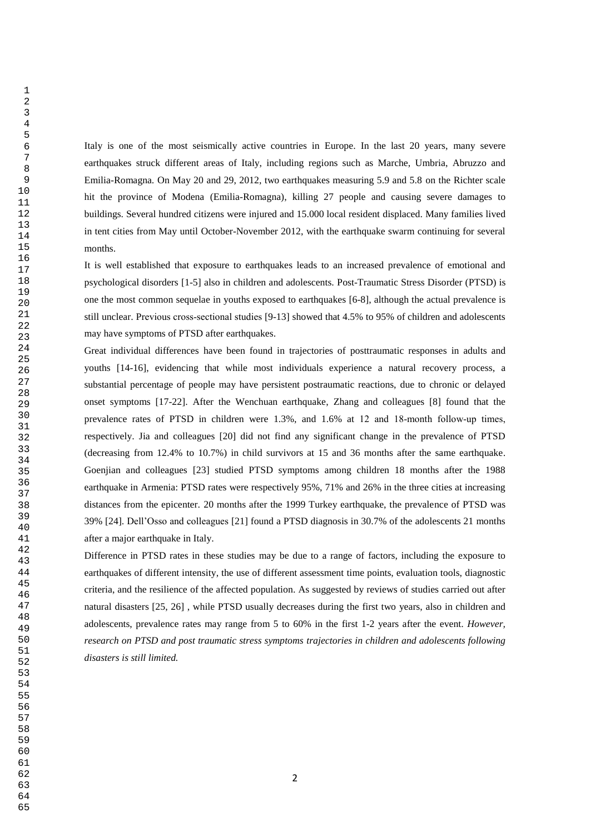Italy is one of the most seismically active countries in Europe. In the last 20 years, many severe earthquakes struck different areas of Italy, including regions such as Marche, Umbria, Abruzzo and Emilia-Romagna. On May 20 and 29, 2012, two earthquakes measuring 5.9 and 5.8 on the Richter scale hit the province of Modena (Emilia-Romagna), killing 27 people and causing severe damages to buildings. Several hundred citizens were injured and 15.000 local resident displaced. Many families lived in tent cities from May until October-November 2012, with the earthquake swarm continuing for several months.

It is well established that exposure to earthquakes leads to an increased prevalence of emotional and psychological disorders [1-5] also in children and adolescents. Post-Traumatic Stress Disorder (PTSD) is one the most common sequelae in youths exposed to earthquakes [6-8], although the actual prevalence is still unclear. Previous cross‐sectional studies [9-13] showed that 4.5% to 95% of children and adolescents may have symptoms of PTSD after earthquakes.

Great individual differences have been found in trajectories of posttraumatic responses in adults and youths [14-16], evidencing that while most individuals experience a natural recovery process, a substantial percentage of people may have persistent postraumatic reactions, due to chronic or delayed onset symptoms [17-22]. After the Wenchuan earthquake, Zhang and colleagues [8] found that the prevalence rates of PTSD in children were 1.3%, and 1.6% at 12 and 18‐month follow‐up times, respectively. Jia and colleagues [20] did not find any significant change in the prevalence of PTSD (decreasing from 12.4% to 10.7%) in child survivors at 15 and 36 months after the same earthquake. Goenjian and colleagues [23] studied PTSD symptoms among children 18 months after the 1988 earthquake in Armenia: PTSD rates were respectively 95%, 71% and 26% in the three cities at increasing distances from the epicenter. 20 months after the 1999 Turkey earthquake, the prevalence of PTSD was 39% [24]. Dell'Osso and colleagues [21] found a PTSD diagnosis in 30.7% of the adolescents 21 months after a major earthquake in Italy.

Difference in PTSD rates in these studies may be due to a range of factors, including the exposure to earthquakes of different intensity, the use of different assessment time points, evaluation tools, diagnostic criteria, and the resilience of the affected population. As suggested by reviews of studies carried out after natural disasters [25, 26] , while PTSD usually decreases during the first two years, also in children and adolescents, prevalence rates may range from 5 to 60% in the first 1-2 years after the event. *However, research on PTSD and post traumatic stress symptoms trajectories in children and adolescents following disasters is still limited.*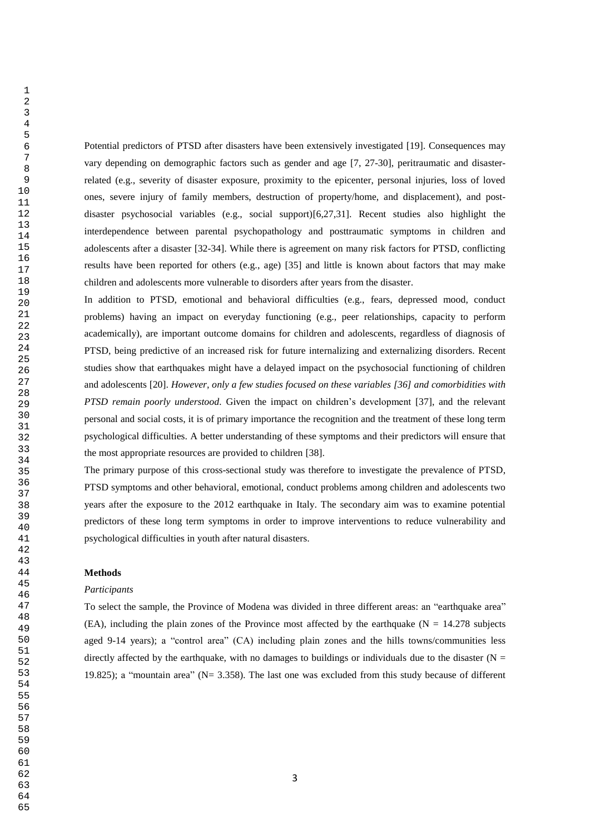Potential predictors of PTSD after disasters have been extensively investigated [19]. Consequences may vary depending on demographic factors such as gender and age [7, 27-30], peritraumatic and disasterrelated (e.g., severity of disaster exposure, proximity to the epicenter, personal injuries, loss of loved ones, severe injury of family members, destruction of property/home, and displacement), and postdisaster psychosocial variables (e.g., social support)[6,27,31]. Recent studies also highlight the interdependence between parental psychopathology and posttraumatic symptoms in children and adolescents after a disaster [32-34]. While there is agreement on many risk factors for PTSD, conflicting results have been reported for others (e.g., age) [35] and little is known about factors that may make children and adolescents more vulnerable to disorders after years from the disaster.

In addition to PTSD, emotional and behavioral difficulties (e.g., fears, depressed mood, conduct problems) having an impact on everyday functioning (e.g., peer relationships, capacity to perform academically), are important outcome domains for children and adolescents, regardless of diagnosis of PTSD, being predictive of an increased risk for future internalizing and externalizing disorders. Recent studies show that earthquakes might have a delayed impact on the psychosocial functioning of children and adolescents [20]. *However, only a few studies focused on these variables [36] and comorbidities with PTSD remain poorly understood.* Given the impact on children's development [37], and the relevant personal and social costs, it is of primary importance the recognition and the treatment of these long term psychological difficulties. A better understanding of these symptoms and their predictors will ensure that the most appropriate resources are provided to children [38].

The primary purpose of this cross-sectional study was therefore to investigate the prevalence of PTSD, PTSD symptoms and other behavioral, emotional, conduct problems among children and adolescents two years after the exposure to the 2012 earthquake in Italy. The secondary aim was to examine potential predictors of these long term symptoms in order to improve interventions to reduce vulnerability and psychological difficulties in youth after natural disasters.

### **Methods**

#### *Participants*

To select the sample, the Province of Modena was divided in three different areas: an "earthquake area" (EA), including the plain zones of the Province most affected by the earthquake ( $N = 14.278$  subjects aged 9-14 years); a "control area" (CA) including plain zones and the hills towns/communities less directly affected by the earthquake, with no damages to buildings or individuals due to the disaster ( $N =$ 19.825); a "mountain area" (N= 3.358). The last one was excluded from this study because of different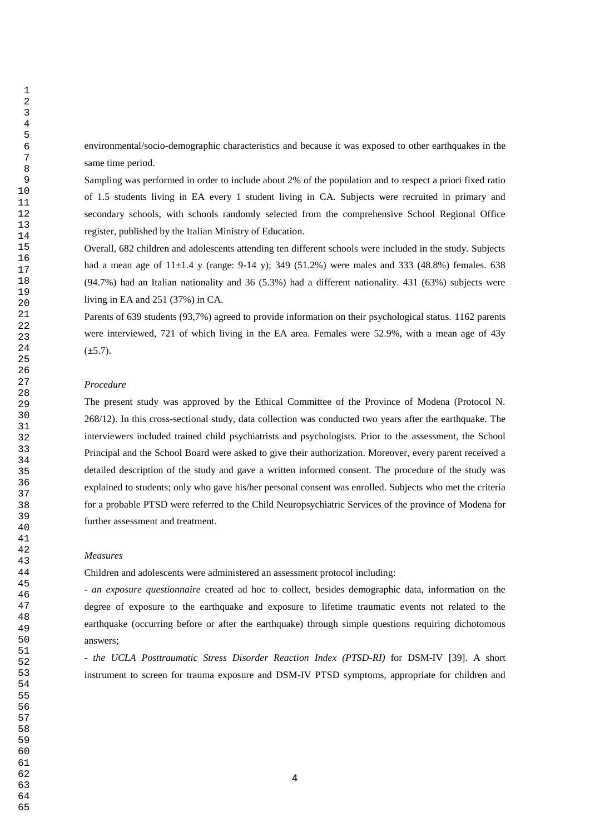environmental/socio-demographic characteristics and because it was exposed to other earthquakes in the same time period.

Sampling was performed in order to include about 2% of the population and to respect a priori fixed ratio of 1.5 students living in EA every 1 student living in CA. Subjects were recruited in primary and secondary schools, with schools randomly selected from the comprehensive School Regional Office register, published by the Italian Ministry of Education.

Overall, 682 children and adolescents attending ten different schools were included in the study. Subjects had a mean age of  $11\pm1.4$  y (range: 9-14 y); 349 (51.2%) were males and 333 (48.8%) females. 638 (94.7%) had an Italian nationality and 36 (5.3%) had a different nationality. 431 (63%) subjects were living in EA and 251 (37%) in CA.

Parents of 639 students (93,7%) agreed to provide information on their psychological status. 1162 parents were interviewed, 721 of which living in the EA area. Females were 52.9%, with a mean age of 43y  $(\pm 5.7).$ 

### *Procedure*

The present study was approved by the Ethical Committee of the Province of Modena (Protocol N. 268/12). In this cross-sectional study, data collection was conducted two years after the earthquake. The interviewers included trained child psychiatrists and psychologists. Prior to the assessment, the School Principal and the School Board were asked to give their authorization. Moreover, every parent received a detailed description of the study and gave a written informed consent. The procedure of the study was explained to students; only who gave his/her personal consent was enrolled. Subjects who met the criteria for a probable PTSD were referred to the Child Neuropsychiatric Services of the province of Modena for further assessment and treatment.

#### *Measures*

Children and adolescents were administered an assessment protocol including:

- *an exposure questionnaire* created ad hoc to collect, besides demographic data, information on the degree of exposure to the earthquake and exposure to lifetime traumatic events not related to the earthquake (occurring before or after the earthquake) through simple questions requiring dichotomous answers;

- *the UCLA Posttraumatic Stress Disorder Reaction Index (PTSD-RI)* for DSM-IV [39]. A short instrument to screen for trauma exposure and DSM-IV PTSD symptoms, appropriate for children and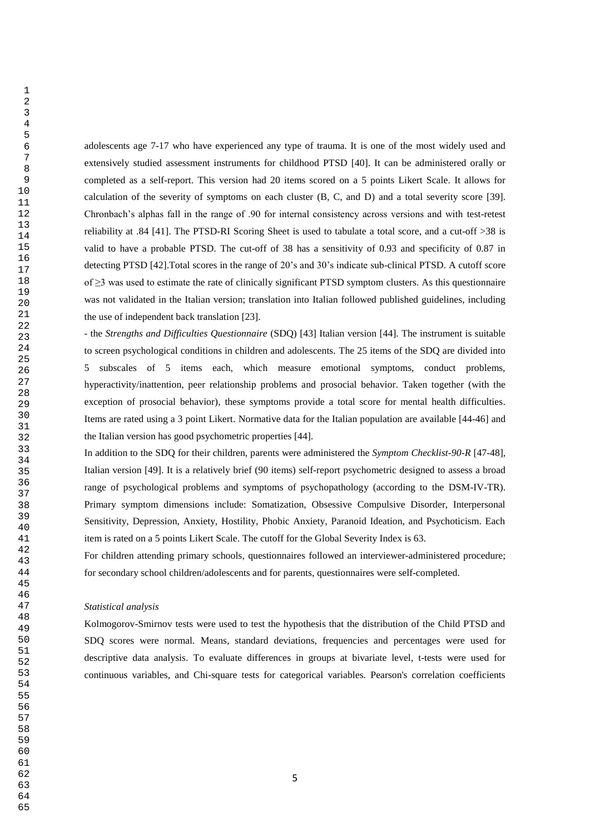adolescents age 7-17 who have experienced any type of trauma. It is one of the most widely used and extensively studied assessment instruments for childhood PTSD [40]. It can be administered orally or completed as a self-report. This version had 20 items scored on a 5 points Likert Scale. It allows for calculation of the severity of symptoms on each cluster (B, C, and D) and a total severity score [39]. Chronbach's alphas fall in the range of .90 for internal consistency across versions and with test-retest reliability at .84 [41]. The PTSD-RI Scoring Sheet is used to tabulate a total score, and a cut-off >38 is valid to have a probable PTSD. The cut-off of 38 has a sensitivity of 0.93 and specificity of 0.87 in detecting PTSD [42].Total scores in the range of 20's and 30's indicate sub-clinical PTSD. A cutoff score of  $\geq$ 3 was used to estimate the rate of clinically significant PTSD symptom clusters. As this questionnaire was not validated in the Italian version; translation into Italian followed published guidelines, including the use of independent back translation [23].

- the *Strengths and Difficulties Questionnaire* (SDQ) [43] Italian version [44]. The instrument is suitable to screen psychological conditions in children and adolescents. The 25 items of the SDQ are divided into 5 subscales of 5 items each, which measure emotional symptoms, conduct problems, hyperactivity/inattention, peer relationship problems and prosocial behavior. Taken together (with the exception of prosocial behavior), these symptoms provide a total score for mental health difficulties. Items are rated using a 3 point Likert. Normative data for the Italian population are available [44-46] and the Italian version has good psychometric properties [44].

In addition to the SDQ for their children, parents were administered the *Symptom Checklist-90-R* [47-48], Italian version [49]. It is a relatively brief (90 items) self-report psychometric designed to assess a broad range of psychological problems and symptoms of psychopathology (according to the DSM-IV-TR). Primary symptom dimensions include: Somatization, Obsessive Compulsive Disorder, Interpersonal Sensitivity, Depression, Anxiety, Hostility, Phobic Anxiety, Paranoid Ideation, and Psychoticism. Each item is rated on a 5 points Likert Scale. The cutoff for the Global Severity Index is 63.

For children attending primary schools, questionnaires followed an interviewer-administered procedure; for secondary school children/adolescents and for parents, questionnaires were self-completed.

#### *Statistical analysis*

Kolmogorov-Smirnov tests were used to test the hypothesis that the distribution of the Child PTSD and SDQ scores were normal. Means, standard deviations, frequencies and percentages were used for descriptive data analysis. To evaluate differences in groups at bivariate level, t-tests were used for continuous variables, and Chi-square tests for categorical variables. Pearson's correlation coefficients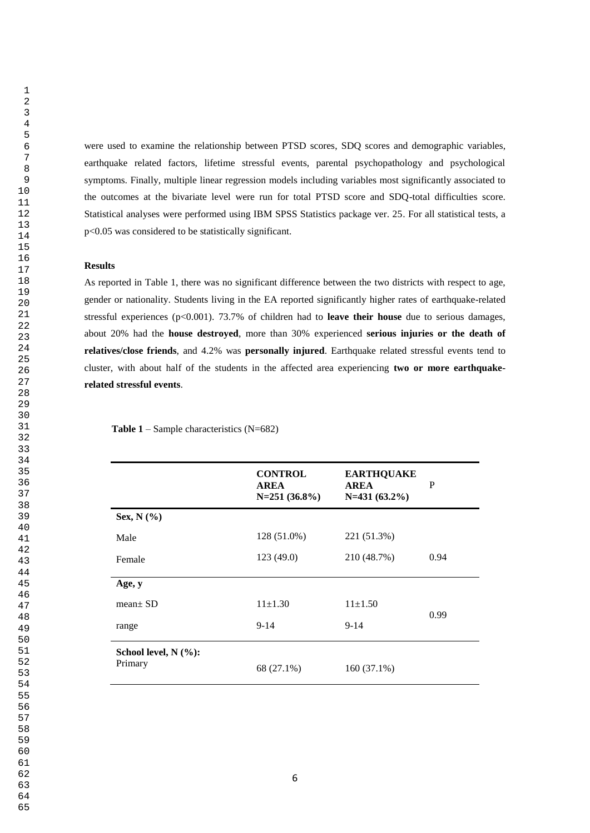were used to examine the relationship between PTSD scores, SDQ scores and demographic variables, earthquake related factors, lifetime stressful events, parental psychopathology and psychological symptoms. Finally, multiple linear regression models including variables most significantly associated to the outcomes at the bivariate level were run for total PTSD score and SDQ-total difficulties score. Statistical analyses were performed using IBM SPSS Statistics package ver. 25. For all statistical tests, a p<0.05 was considered to be statistically significant.

#### **Results**

As reported in Table 1, there was no significant difference between the two districts with respect to age, gender or nationality. Students living in the EA reported significantly higher rates of earthquake-related stressful experiences (p<0.001). 73.7% of children had to **leave their house** due to serious damages, about 20% had the **house destroyed**, more than 30% experienced **serious injuries or the death of relatives/close friends**, and 4.2% was **personally injured**. Earthquake related stressful events tend to cluster, with about half of the students in the affected area experiencing **two or more earthquakerelated stressful events**.

|                                      | <b>CONTROL</b><br><b>AREA</b><br>$N=251(36.8\%)$ | <b>EARTHQUAKE</b><br><b>AREA</b><br>$N=431(63.2\%)$ | P    |
|--------------------------------------|--------------------------------------------------|-----------------------------------------------------|------|
| Sex, $N$ $(\%$                       |                                                  |                                                     |      |
| Male                                 | 128 (51.0%)                                      | 221 (51.3%)                                         |      |
| Female                               | 123(49.0)                                        | 210 (48.7%)                                         | 0.94 |
| Age, y                               |                                                  |                                                     |      |
| $mean \pm SD$                        | $11\pm1.30$                                      | $11\pm1.50$                                         |      |
| range                                | $9-14$                                           | $9-14$                                              | 0.99 |
| School level, $N$ $(\%):$<br>Primary | 68 (27.1%)                                       | 160 (37.1%)                                         |      |

 **Table 1** – Sample characteristics (N=682)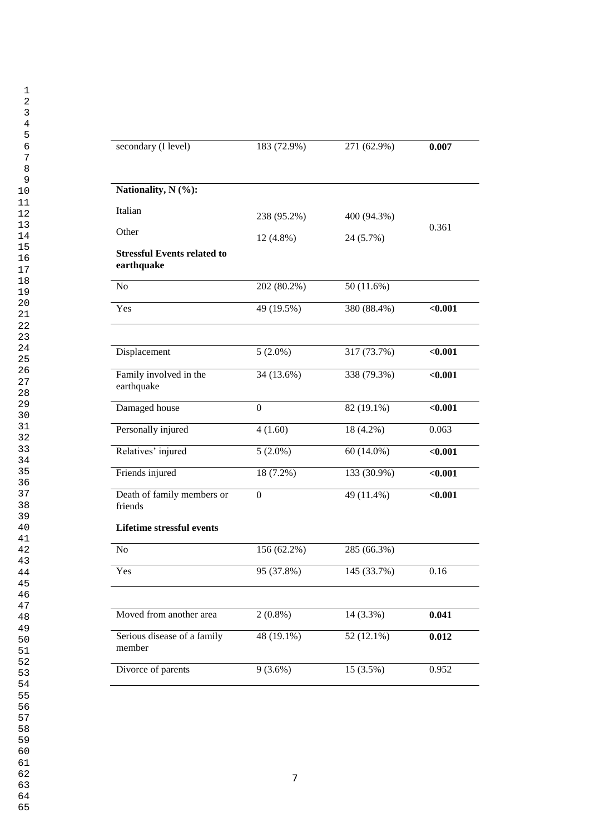| secondary (I level)                              | 183 (72.9%)      | 271 (62.9%) | 0.007   |
|--------------------------------------------------|------------------|-------------|---------|
| Nationality, N (%):                              |                  |             |         |
| Italian                                          | 238 (95.2%)      | 400 (94.3%) |         |
| Other                                            | 12 (4.8%)        | 24 (5.7%)   | 0.361   |
| <b>Stressful Events related to</b><br>earthquake |                  |             |         |
| No                                               | 202 (80.2%)      | 50 (11.6%)  |         |
| Yes                                              | 49 (19.5%)       | 380 (88.4%) | < 0.001 |
|                                                  |                  |             |         |
| Displacement                                     | $5(2.0\%)$       | 317 (73.7%) | < 0.001 |
| Family involved in the<br>earthquake             | 34 (13.6%)       | 338 (79.3%) | < 0.001 |
| Damaged house                                    | $\boldsymbol{0}$ | 82 (19.1%)  | < 0.001 |
| Personally injured                               | 4(1.60)          | 18 (4.2%)   | 0.063   |
| Relatives' injured                               | $5(2.0\%)$       | 60 (14.0%)  | < 0.001 |
| Friends injured                                  | 18 (7.2%)        | 133 (30.9%) | < 0.001 |
| Death of family members or<br>friends            | $\boldsymbol{0}$ | 49 (11.4%)  | < 0.001 |
| <b>Lifetime stressful events</b>                 |                  |             |         |
| $\rm No$                                         | 156 (62.2%)      | 285 (66.3%) |         |
| Yes                                              | 95 (37.8%)       | 145 (33.7%) | 0.16    |
|                                                  |                  |             |         |
| Moved from another area                          | $2(0.8\%)$       | 14 (3.3%)   | 0.041   |
| Serious disease of a family<br>member            | 48 (19.1%)       | 52 (12.1%)  | 0.012   |
| Divorce of parents                               | $9(3.6\%)$       | 15 (3.5%)   | 0.952   |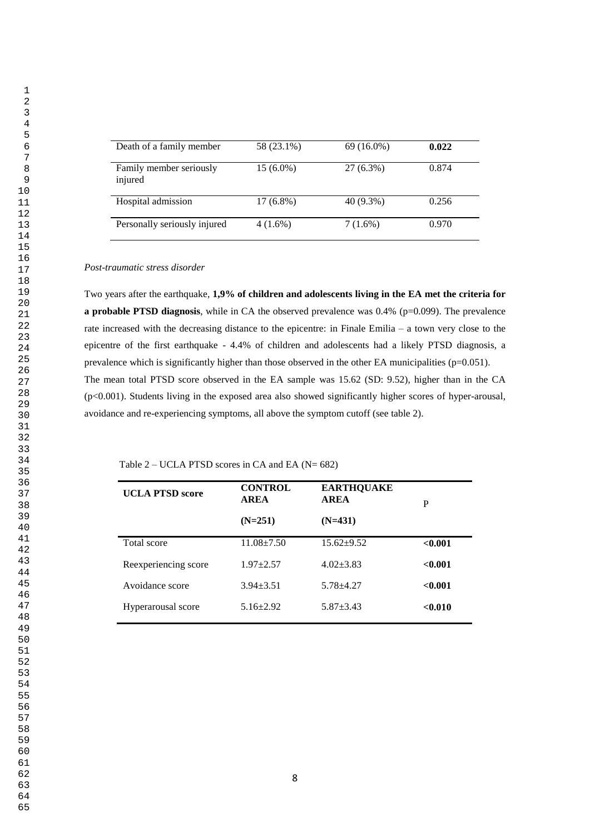| Death of a family member           | 58 (23.1%)  | $69(16.0\%)$ | 0.022 |
|------------------------------------|-------------|--------------|-------|
| Family member seriously<br>injured | $15(6.0\%)$ | 27 (6.3%)    | 0.874 |
| Hospital admission                 | $17(6.8\%)$ | 40 (9.3%)    | 0.256 |
| Personally seriously injured       | $4(1.6\%)$  | $7(1.6\%)$   | 0.970 |

#### *Post-traumatic stress disorder*

Two years after the earthquake, **1,9% of children and adolescents living in the EA met the criteria for a probable PTSD diagnosis**, while in CA the observed prevalence was 0.4% (p=0.099). The prevalence rate increased with the decreasing distance to the epicentre: in Finale Emilia – a town very close to the epicentre of the first earthquake - 4.4% of children and adolescents had a likely PTSD diagnosis, a prevalence which is significantly higher than those observed in the other EA municipalities (p=0.051). The mean total PTSD score observed in the EA sample was 15.62 (SD: 9.52), higher than in the CA (p<0.001). Students living in the exposed area also showed significantly higher scores of hyper-arousal, avoidance and re-experiencing symptoms, all above the symptom cutoff (see table 2).

| Table 2 – UCLA PTSD scores in CA and EA ( $N = 682$ ) |  |
|-------------------------------------------------------|--|
|                                                       |  |

| <b>UCLA PTSD score</b> | <b>CONTROL</b><br><b>AREA</b> | <b>EARTHQUAKE</b><br><b>AREA</b> | P       |
|------------------------|-------------------------------|----------------------------------|---------|
|                        | $(N=251)$                     | $(N=431)$                        |         |
| Total score            | $11.08 + 7.50$                | $15.62+9.52$                     | < 0.001 |
| Reexperiencing score   | $1.97 + 2.57$                 | $4.02 + 3.83$                    | < 0.001 |
| Avoidance score        | $3.94 + 3.51$                 | $5.78 + 4.27$                    | < 0.001 |
| Hyperarousal score     | $5.16 \pm 2.92$               | $5.87 \pm 3.43$                  | < 0.010 |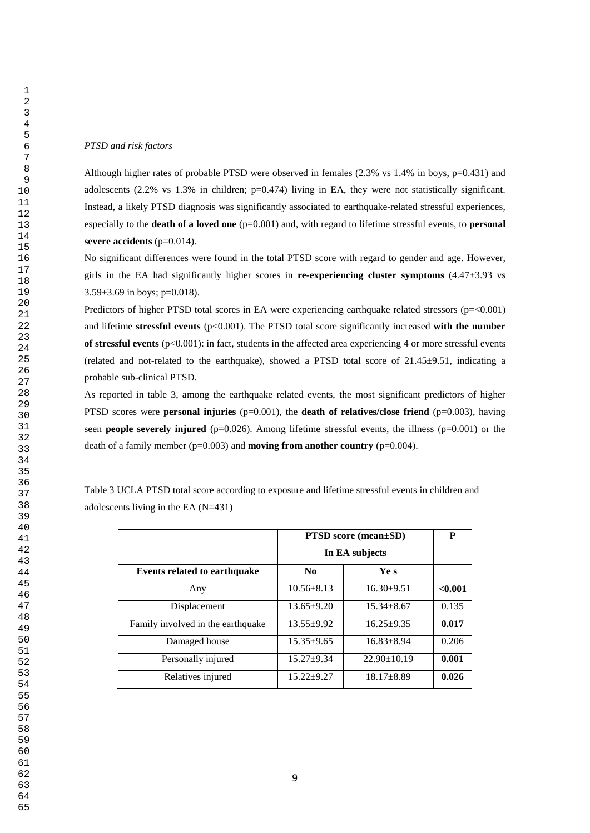#### *PTSD and risk factors*

Although higher rates of probable PTSD were observed in females  $(2.3\% \text{ vs } 1.4\% \text{ in boys, } p=0.431)$  and adolescents (2.2% vs 1.3% in children; p=0.474) living in EA, they were not statistically significant. Instead, a likely PTSD diagnosis was significantly associated to earthquake-related stressful experiences, especially to the **death of a loved one** ( $p=0.001$ ) and, with regard to lifetime stressful events, to **personal severe accidents** (p=0.014).

No significant differences were found in the total PTSD score with regard to gender and age. However, girls in the EA had significantly higher scores in **re-experiencing cluster symptoms** (4.47±3.93 vs  $3.59\pm3.69$  in boys; p=0.018).

Predictors of higher PTSD total scores in EA were experiencing earthquake related stressors (p=<0.001) and lifetime **stressful events** (p<0.001). The PTSD total score significantly increased **with the number of stressful events** (p<0.001): in fact, students in the affected area experiencing 4 or more stressful events (related and not-related to the earthquake), showed a PTSD total score of  $21.45\pm9.51$ , indicating a probable sub-clinical PTSD.

As reported in table 3, among the earthquake related events, the most significant predictors of higher PTSD scores were **personal injuries** (p=0.001), the **death of relatives/close friend** (p=0.003), having seen **people severely injured** (p=0.026). Among lifetime stressful events, the illness (p=0.001) or the death of a family member  $(p=0.003)$  and **moving from another country**  $(p=0.004)$ .

Table 3 UCLA PTSD total score according to exposure and lifetime stressful events in children and adolescents living in the EA (N=431)

|                                     | <b>PTSD</b> score (mean±SD) | P                 |         |
|-------------------------------------|-----------------------------|-------------------|---------|
|                                     | In EA subjects              |                   |         |
| <b>Events related to earthquake</b> | N <sub>0</sub>              | Ye s              |         |
| Any                                 | $10.56 + 8.13$              | $16.30 \pm 9.51$  | < 0.001 |
| Displacement                        | $13.65 \pm 9.20$            | $15.34 + 8.67$    | 0.135   |
| Family involved in the earthquake   | $13.55 \pm 9.92$            | $16.25 + 9.35$    | 0.017   |
| Damaged house                       | $15.35 \pm 9.65$            | $16.83 \pm 8.94$  | 0.206   |
| Personally injured                  | $15.27+9.34$                | $22.90 \pm 10.19$ | 0.001   |
| Relatives injured                   | $15.22+9.27$                | $18.17 \pm 8.89$  | 0.026   |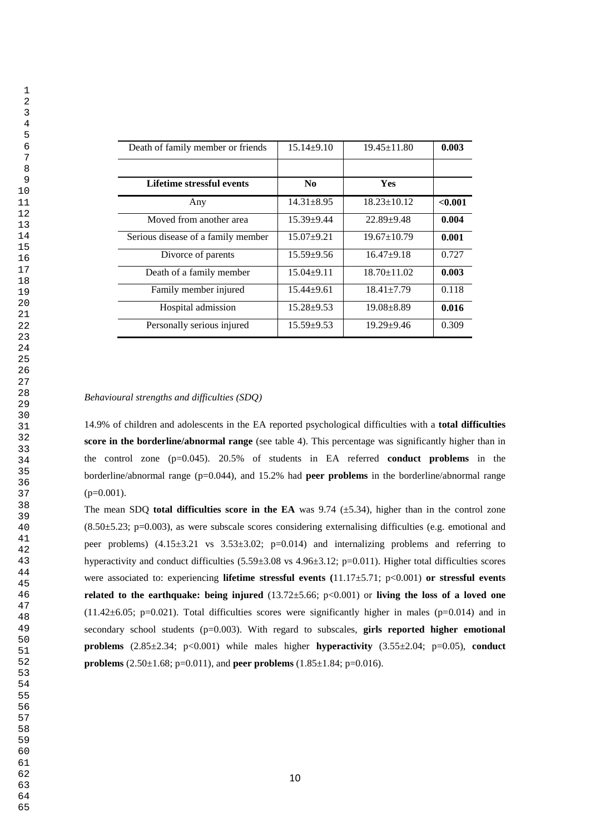| Death of family member or friends  | $15.14 \pm 9.10$ | $19.45 \pm 11.80$ | 0.003   |
|------------------------------------|------------------|-------------------|---------|
|                                    |                  |                   |         |
| Lifetime stressful events          | No.              | <b>Yes</b>        |         |
| Any                                | $14.31 + 8.95$   | $18.23 \pm 10.12$ | < 0.001 |
| Moved from another area            | $15.39 + 9.44$   | $22.89 + 9.48$    | 0.004   |
| Serious disease of a family member | $15.07+9.21$     | $19.67 \pm 10.79$ | 0.001   |
| Divorce of parents                 | $15.59 + 9.56$   | $16.47 + 9.18$    | 0.727   |
| Death of a family member           | $15.04 \pm 9.11$ | $18.70 \pm 11.02$ | 0.003   |
| Family member injured              | $15.44 + 9.61$   | $18.41 + 7.79$    | 0.118   |
| Hospital admission                 | $15.28 + 9.53$   | $19.08 + 8.89$    | 0.016   |
| Personally serious injured         | $15.59 + 9.53$   | $19.29 + 9.46$    | 0.309   |

#### *Behavioural strengths and difficulties (SDQ)*

14.9% of children and adolescents in the EA reported psychological difficulties with a **total difficulties score in the borderline/abnormal range** (see table 4). This percentage was significantly higher than in the control zone (p=0.045). 20.5% of students in EA referred **conduct problems** in the borderline/abnormal range (p=0.044), and 15.2% had **peer problems** in the borderline/abnormal range  $(p=0.001)$ .

The mean SDQ **total difficulties score in the EA** was  $9.74$  ( $\pm$ 5.34), higher than in the control zone  $(8.50\pm5.23; \text{p}=0.003)$ , as were subscale scores considering externalising difficulties (e.g. emotional and peer problems)  $(4.15\pm3.21 \text{ vs } 3.53\pm3.02; \text{ p}$  =0.014) and internalizing problems and referring to hyperactivity and conduct difficulties  $(5.59\pm3.08 \text{ vs } 4.96\pm3.12; \text{ p}=0.011)$ . Higher total difficulties scores were associated to: experiencing **lifetime stressful events (**11.17±5.71; p<0.001) **or stressful events related to the earthquake: being injured** (13.72±5.66; p<0.001) or **living the loss of a loved one**  $(11.42\pm6.05; p=0.021)$ . Total difficulties scores were significantly higher in males ( $p=0.014$ ) and in secondary school students (p=0.003). With regard to subscales, **girls reported higher emotional problems** (2.85±2.34; p<0.001) while males higher **hyperactivity** (3.55±2.04; p=0.05), **conduct problems** (2.50±1.68; p=0.011), and **peer problems** (1.85±1.84; p=0.016).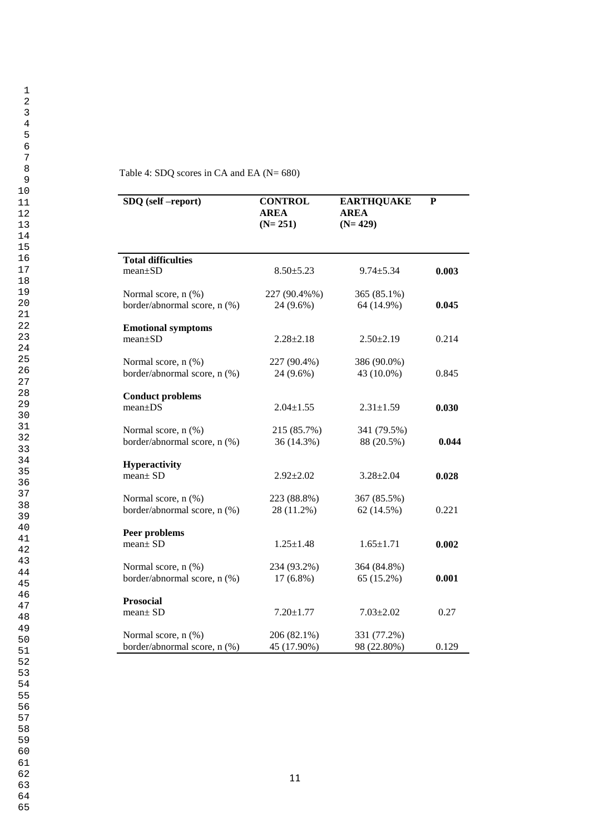| Table 4: SDQ scores in CA and EA ( $N = 680$ ) |  |  |  |  |  |
|------------------------------------------------|--|--|--|--|--|
|------------------------------------------------|--|--|--|--|--|

| SDQ (self-report)                          | <b>CONTROL</b><br><b>AREA</b><br>$(N=251)$ | <b>EARTHQUAKE</b><br><b>AREA</b><br>$(N=429)$ | P     |
|--------------------------------------------|--------------------------------------------|-----------------------------------------------|-------|
| <b>Total difficulties</b>                  |                                            |                                               |       |
| $mean \pm SD$                              | $8.50 \pm 5.23$                            | $9.74 \pm 5.34$                               | 0.003 |
| Normal score, n (%)                        | 227 (90.4%%)                               | 365 (85.1%)                                   |       |
| border/abnormal score, n (%)               | 24 (9.6%)                                  | 64 (14.9%)                                    | 0.045 |
| <b>Emotional symptoms</b><br>$mean \pm SD$ | $2.28 \pm 2.18$                            | $2.50 \pm 2.19$                               | 0.214 |
| Normal score, n (%)                        | 227 (90.4%)                                | 386 (90.0%)                                   |       |
| border/abnormal score, n (%)               | 24 (9.6%)                                  | 43 (10.0%)                                    | 0.845 |
| <b>Conduct problems</b><br>$mean \pm DS$   | $2.04 \pm 1.55$                            | $2.31 \pm 1.59$                               | 0.030 |
|                                            |                                            |                                               |       |
| Normal score, n (%)                        | 215 (85.7%)                                | 341 (79.5%)                                   |       |
| border/abnormal score, n (%)               | 36 (14.3%)                                 | 88 (20.5%)                                    | 0.044 |
| <b>Hyperactivity</b>                       |                                            |                                               |       |
| mean± SD                                   | $2.92 \pm 2.02$                            | $3.28 \pm 2.04$                               | 0.028 |
| Normal score, n (%)                        | 223 (88.8%)                                | 367 (85.5%)                                   |       |
| border/abnormal score, n (%)               | 28 (11.2%)                                 | 62(14.5%)                                     | 0.221 |
| Peer problems                              |                                            |                                               |       |
| $mean \pm SD$                              | $1.25 \pm 1.48$                            | $1.65 \pm 1.71$                               | 0.002 |
| Normal score, n (%)                        | 234 (93.2%)                                | 364 (84.8%)                                   |       |
| border/abnormal score, n (%)               | 17 (6.8%)                                  | 65 (15.2%)                                    | 0.001 |
| <b>Prosocial</b>                           |                                            |                                               |       |
| mean <sub>±</sub> SD                       | $7.20 \pm 1.77$                            | $7.03 \pm 2.02$                               | 0.27  |
| Normal score, n (%)                        | 206 (82.1%)                                | 331 (77.2%)                                   |       |
| border/abnormal score, n (%)               | 45 (17.90%)                                | 98 (22.80%)                                   | 0.129 |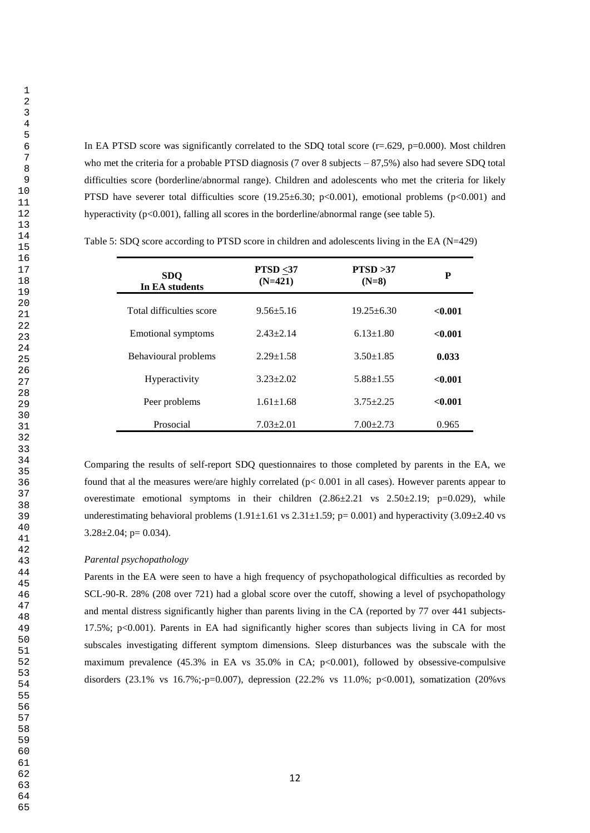In EA PTSD score was significantly correlated to the SDQ total score  $(r=.629, p=0.000)$ . Most children who met the criteria for a probable PTSD diagnosis (7 over 8 subjects – 87,5%) also had severe SDQ total difficulties score (borderline/abnormal range). Children and adolescents who met the criteria for likely PTSD have severer total difficulties score (19.25 $\pm$ 6.30; p<0.001), emotional problems (p<0.001) and hyperactivity ( $p \le 0.001$ ), falling all scores in the borderline/abnormal range (see table 5).

| <b>SDO</b><br>In EA students | <b>PTSD</b> $\leq$ 37<br>$(N=421)$ | PTSD > 37<br>$(N=8)$ | P       |
|------------------------------|------------------------------------|----------------------|---------|
| Total difficulties score     | $9.56 + 5.16$                      | $19.25 \pm 6.30$     | < 0.001 |
| <b>Emotional symptoms</b>    | $2.43 \pm 2.14$                    | $6.13 \pm 1.80$      | < 0.001 |
| Behavioural problems         | $2.29 \pm 1.58$                    | $3.50 \pm 1.85$      | 0.033   |
| <b>Hyperactivity</b>         | $3.23 + 2.02$                      | $5.88 \pm 1.55$      | < 0.001 |
| Peer problems                | $1.61 \pm 1.68$                    | $3.75 + 2.25$        | < 0.001 |
| Prosocial                    | $7.03 \pm 2.01$                    | $7.00 \pm 2.73$      | 0.965   |

Table 5: SDQ score according to PTSD score in children and adolescents living in the EA (N=429)

Comparing the results of self-report SDQ questionnaires to those completed by parents in the EA, we found that al the measures were/are highly correlated (p< 0.001 in all cases). However parents appear to overestimate emotional symptoms in their children  $(2.86\pm2.21 \text{ vs } 2.50\pm2.19; \text{ p}=0.029)$ , while underestimating behavioral problems  $(1.91\pm1.61 \text{ vs } 2.31\pm1.59; \text{p}= 0.001)$  and hyperactivity  $(3.09\pm2.40 \text{ vs } 2.31\pm1.61)$  $3.28 \pm 2.04$ ; p= 0.034).

## *Parental psychopathology*

Parents in the EA were seen to have a high frequency of psychopathological difficulties as recorded by SCL-90-R. 28% (208 over 721) had a global score over the cutoff, showing a level of psychopathology and mental distress significantly higher than parents living in the CA (reported by 77 over 441 subjects-17.5%; p<0.001). Parents in EA had significantly higher scores than subjects living in CA for most subscales investigating different symptom dimensions. Sleep disturbances was the subscale with the maximum prevalence  $(45.3\%$  in EA vs  $35.0\%$  in CA;  $p<0.001$ ), followed by obsessive-compulsive disorders (23.1% vs 16.7%;-p=0.007), depression (22.2% vs 11.0%; p<0.001), somatization (20%vs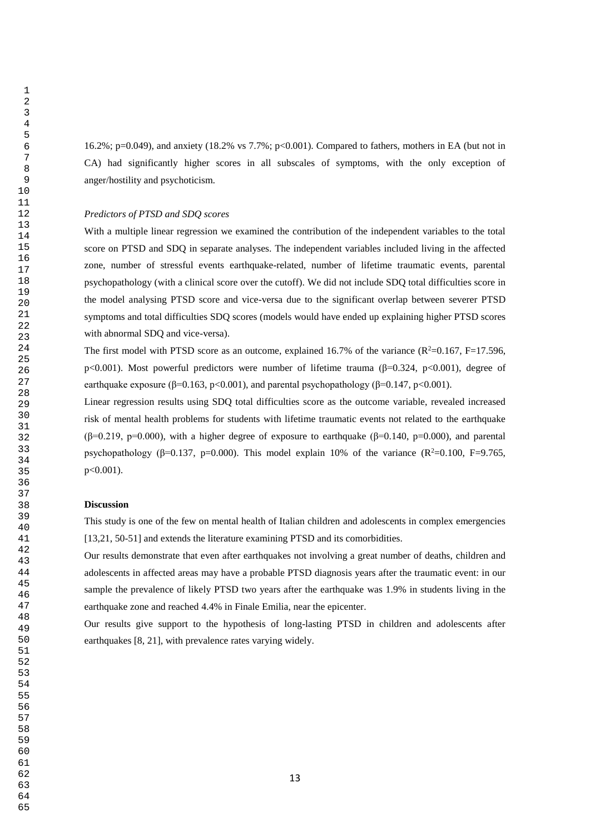16.2%; p=0.049), and anxiety (18.2% vs 7.7%; p<0.001). Compared to fathers, mothers in EA (but not in CA) had significantly higher scores in all subscales of symptoms, with the only exception of anger/hostility and psychoticism.

### *Predictors of PTSD and SDQ scores*

With a multiple linear regression we examined the contribution of the independent variables to the total score on PTSD and SDQ in separate analyses. The independent variables included living in the affected zone, number of stressful events earthquake-related, number of lifetime traumatic events, parental psychopathology (with a clinical score over the cutoff). We did not include SDQ total difficulties score in the model analysing PTSD score and vice-versa due to the significant overlap between severer PTSD symptoms and total difficulties SDQ scores (models would have ended up explaining higher PTSD scores with abnormal SDQ and vice-versa).

The first model with PTSD score as an outcome, explained 16.7% of the variance ( $R^2$ =0.167, F=17.596, p<0.001). Most powerful predictors were number of lifetime trauma (β=0.324, p<0.001), degree of earthquake exposure ( $\beta$ =0.163, p<0.001), and parental psychopathology ( $\beta$ =0.147, p<0.001).

Linear regression results using SDQ total difficulties score as the outcome variable, revealed increased risk of mental health problems for students with lifetime traumatic events not related to the earthquake  $(\beta=0.219, p=0.000)$ , with a higher degree of exposure to earthquake ( $\beta=0.140, p=0.000$ ), and parental psychopathology ( $\beta$ =0.137, p=0.000). This model explain 10% of the variance ( $\mathbb{R}^2$ =0.100, F=9.765, p<0.001).

#### **Discussion**

This study is one of the few on mental health of Italian children and adolescents in complex emergencies [13,21, 50-51] and extends the literature examining PTSD and its comorbidities.

Our results demonstrate that even after earthquakes not involving a great number of deaths, children and adolescents in affected areas may have a probable PTSD diagnosis years after the traumatic event: in our sample the prevalence of likely PTSD two years after the earthquake was 1.9% in students living in the earthquake zone and reached 4.4% in Finale Emilia, near the epicenter.

Our results give support to the hypothesis of long-lasting PTSD in children and adolescents after earthquakes [8, 21], with prevalence rates varying widely.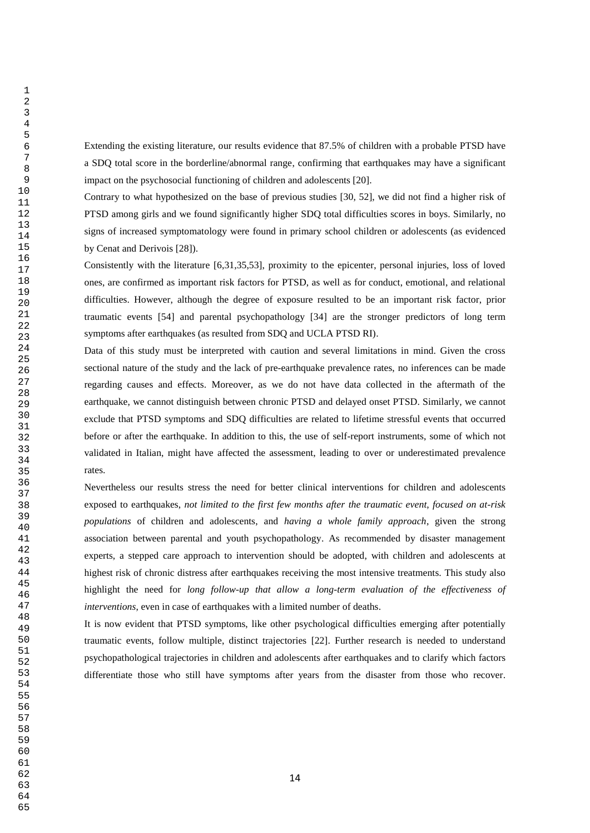Extending the existing literature, our results evidence that 87.5% of children with a probable PTSD have a SDQ total score in the borderline/abnormal range, confirming that earthquakes may have a significant impact on the psychosocial functioning of children and adolescents [20].

Contrary to what hypothesized on the base of previous studies [30, 52], we did not find a higher risk of PTSD among girls and we found significantly higher SDQ total difficulties scores in boys. Similarly, no signs of increased symptomatology were found in primary school children or adolescents (as evidenced by Cenat and Derivois [28]).

Consistently with the literature [6,31,35,53], proximity to the epicenter, personal injuries, loss of loved ones, are confirmed as important risk factors for PTSD, as well as for conduct, emotional, and relational difficulties. However, although the degree of exposure resulted to be an important risk factor, prior traumatic events [54] and parental psychopathology [34] are the stronger predictors of long term symptoms after earthquakes (as resulted from SDQ and UCLA PTSD RI).

Data of this study must be interpreted with caution and several limitations in mind. Given the cross sectional nature of the study and the lack of pre-earthquake prevalence rates, no inferences can be made regarding causes and effects. Moreover, as we do not have data collected in the aftermath of the earthquake, we cannot distinguish between chronic PTSD and delayed onset PTSD. Similarly, we cannot exclude that PTSD symptoms and SDQ difficulties are related to lifetime stressful events that occurred before or after the earthquake. In addition to this, the use of self-report instruments, some of which not validated in Italian, might have affected the assessment, leading to over or underestimated prevalence rates.

Nevertheless our results stress the need for better clinical interventions for children and adolescents exposed to earthquakes, *not limited to the first few months after the traumatic event*, *focused on at-risk populations* of children and adolescents, and *having a whole family approach*, given the strong association between parental and youth psychopathology. As recommended by disaster management experts, a stepped care approach to intervention should be adopted, with children and adolescents at highest risk of chronic distress after earthquakes receiving the most intensive treatments. This study also highlight the need for *long follow-up that allow a long-term evaluation of the effectiveness of interventions*, even in case of earthquakes with a limited number of deaths.

It is now evident that PTSD symptoms, like other psychological difficulties emerging after potentially traumatic events, follow multiple, distinct trajectories [22]. Further research is needed to understand psychopathological trajectories in children and adolescents after earthquakes and to clarify which factors differentiate those who still have symptoms after years from the disaster from those who recover.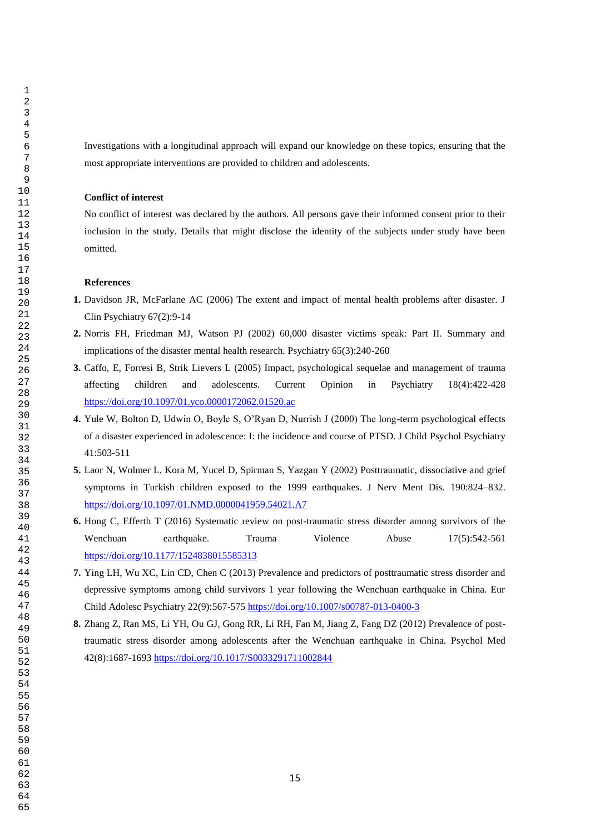Investigations with a longitudinal approach will expand our knowledge on these topics, ensuring that the most appropriate interventions are provided to children and adolescents.

#### **Conflict of interest**

No conflict of interest was declared by the authors. All persons gave their informed consent prior to their inclusion in the study. Details that might disclose the identity of the subjects under study have been omitted.

#### **References**

- **1.** Davidson JR, McFarlane AC (2006) The extent and impact of mental health problems after disaster. J Clin Psychiatry 67(2):9-14
- **2.** Norris FH, Friedman MJ, Watson PJ (2002) 60,000 disaster victims speak: Part II. Summary and implications of the disaster mental health research. Psychiatry 65(3):240-260
- **3.** Caffo, E, Forresi B, Strik Lievers L (2005) Impact, psychological sequelae and management of trauma affecting children and adolescents. Current Opinion in Psychiatry 18(4):422-428 <https://doi.org/10.1097/01.yco.0000172062.01520.ac>
- **4.** Yule W, Bolton D, Udwin O, Boyle S, O'Ryan D, Nurrish J (2000) The long-term psychological effects of a disaster experienced in adolescence: I: the incidence and course of PTSD. J Child Psychol Psychiatry 41:503-511
- **5.** Laor N, Wolmer L, Kora M, Yucel D, Spirman S, Yazgan Y (2002) Posttraumatic, dissociative and grief symptoms in Turkish children exposed to the 1999 earthquakes. J Nerv Ment Dis. 190:824–832. <https://doi.org/10.1097/01.NMD.0000041959.54021.A7>
- **6.** Hong C, Efferth T (2016) Systematic review on post-traumatic stress disorder among survivors of the Wenchuan earthquake. Trauma Violence Abuse 17(5):542-561 <https://doi.org/10.1177/1524838015585313>
- **7.** Ying LH, Wu XC, Lin CD, Chen C (2013) Prevalence and predictors of posttraumatic stress disorder and depressive symptoms among child survivors 1 year following the Wenchuan earthquake in China. Eur Child Adolesc Psychiatry 22(9):567-575<https://doi.org/10.1007/s00787-013-0400-3>
- **8.** Zhang Z, Ran MS, Li YH, Ou GJ, Gong RR, Li RH, Fan M, Jiang Z, Fang DZ (2012) Prevalence of posttraumatic stress disorder among adolescents after the Wenchuan earthquake in China. Psychol Med 42(8):1687-1693<https://doi.org/10.1017/S0033291711002844>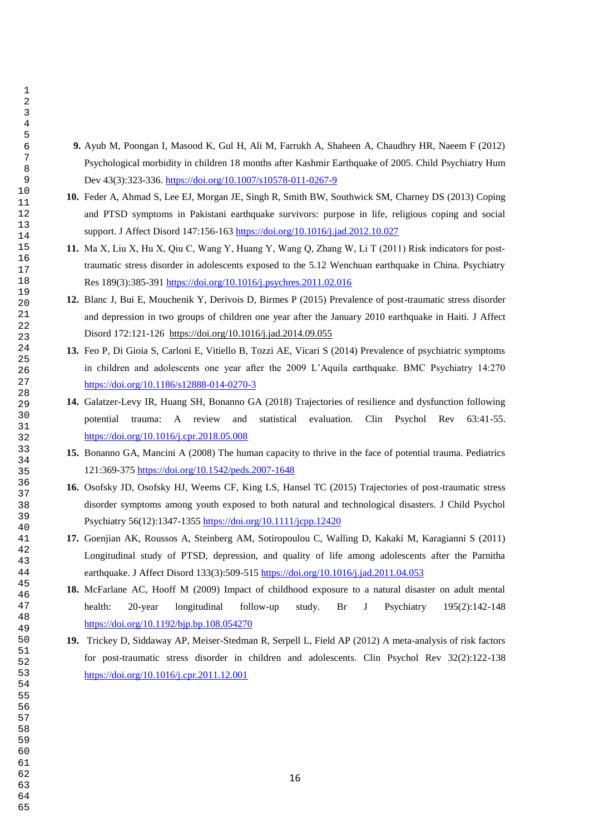- **9.** Ayub M, Poongan I, Masood K, Gul H, Ali M, Farrukh A, Shaheen A, Chaudhry HR, Naeem F (2012) Psychological morbidity in children 18 months after Kashmir Earthquake of 2005. Child Psychiatry Hum Dev 43(3):323-336.<https://doi.org/10.1007/s10578-011-0267-9>
- **10.** Feder A, Ahmad S, Lee EJ, Morgan JE, Singh R, Smith BW, Southwick SM, Charney DS (2013) Coping and PTSD symptoms in Pakistani earthquake survivors: purpose in life, religious coping and social support. J Affect Disord 147:156-163<https://doi.org/10.1016/j.jad.2012.10.027>
- **11.** Ma X, Liu X, Hu X, Qiu C, Wang Y, Huang Y, Wang Q, Zhang W, Li T (2011) Risk indicators for post‐ traumatic stress disorder in adolescents exposed to the 5.12 Wenchuan earthquake in China. Psychiatry Res 189(3):385-391<https://doi.org/10.1016/j.psychres.2011.02.016>
- **12.** Blanc J, Bui E, Mouchenik Y, Derivois D, Birmes P (2015) Prevalence of post-traumatic stress disorder and depression in two groups of children one year after the January 2010 earthquake in Haiti*.* J Affect Disord 172:121-126 <https://doi.org/10.1016/j.jad.2014.09.055>
- **13.** Feo P, Di Gioia S, Carloni E, Vitiello B, Tozzi AE, Vicari S (2014) Prevalence of psychiatric symptoms in children and adolescents one year after the 2009 L'Aquila earthquake. BMC Psychiatry 14:270 <https://doi.org/10.1186/s12888-014-0270-3>
- **14.** Galatzer-Levy IR, Huang SH, Bonanno GA (2018) Trajectories of resilience and dysfunction following potential trauma: A review and statistical evaluation. Clin Psychol Rev 63:41-55. <https://doi.org/10.1016/j.cpr.2018.05.008>
- **15.** Bonanno GA, Mancini A (2008) The human capacity to thrive in the face of potential trauma. Pediatrics 121:369-37[5 https://doi.org/10.1542/peds.2007-1648](https://doi.org/10.1542/peds.2007-1648)
- **16.** Osofsky JD, Osofsky HJ, Weems CF, King LS, Hansel TC (2015) Trajectories of post-traumatic stress disorder symptoms among youth exposed to both natural and technological disasters. J Child Psychol Psychiatry 56(12):1347-1355<https://doi.org/10.1111/jcpp.12420>
- **17.** Goenjian AK, Roussos A, Steinberg AM, Sotiropoulou C, Walling D, Kakaki M, Karagianni S (2011) Longitudinal study of PTSD, depression, and quality of life among adolescents after the Parnitha earthquake. J Affect Disord 133(3):509-515<https://doi.org/10.1016/j.jad.2011.04.053>
- **18.** McFarlane AC, Hooff M (2009) Impact of childhood exposure to a natural disaster on adult mental health: 20-year longitudinal follow-up study. Br J Psychiatry 195(2):142-148 <https://doi.org/10.1192/bjp.bp.108.054270>
- **19.** Trickey D, Siddaway AP, Meiser-Stedman R, Serpell L, Field AP (2012) A meta-analysis of risk factors for post-traumatic stress disorder in children and adolescents. Clin Psychol Rev 32(2):122-138 <https://doi.org/10.1016/j.cpr.2011.12.001>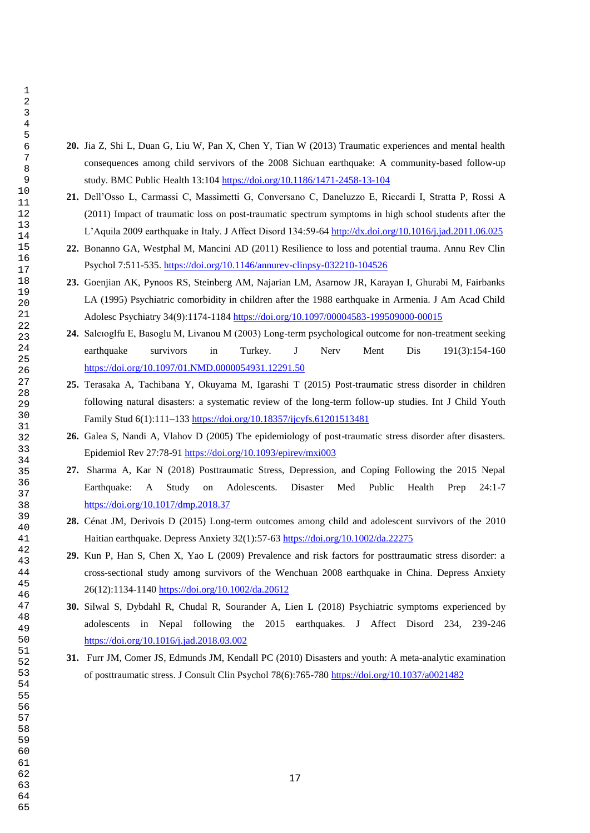- **20.** Jia Z, Shi L, Duan G, Liu W, Pan X, Chen Y, Tian W (2013) Traumatic experiences and mental health consequences among child servivors of the 2008 Sichuan earthquake: A community-based follow-up study. BMC Public Health 13:104<https://doi.org/10.1186/1471-2458-13-104>
- **21.** Dell'Osso L, Carmassi C, Massimetti G, Conversano C, Daneluzzo E, Riccardi I, Stratta P, Rossi A (2011) Impact of traumatic loss on post-traumatic spectrum symptoms in high school students after the L'Aquila 2009 earthquake in Italy. J Affect Disord 134:59-6[4 http://dx.doi.org/10.1016/j.jad.2011.06.025](http://dx.doi.org/10.1016/j.jad.2011.06.025)
- **22.** Bonanno GA, Westphal M, Mancini AD (2011) Resilience to loss and potential trauma. Annu Rev Clin Psychol 7:511-535.<https://doi.org/10.1146/annurev-clinpsy-032210-104526>
- **23.** Goenjian AK, Pynoos RS, Steinberg AM, Najarian LM, Asarnow JR, Karayan I, Ghurabi M, Fairbanks LA (1995) Psychiatric comorbidity in children after the 1988 earthquake in Armenia. J Am Acad Child Adolesc Psychiatry 34(9):1174-1184<https://doi.org/10.1097/00004583-199509000-00015>
- **24.** Salcıoglfu E, Basoglu M, Livanou M (2003) Long-term psychological outcome for non-treatment seeking earthquake survivors in Turkey. J Nerv Ment Dis 191(3):154-160 <https://doi.org/10.1097/01.NMD.0000054931.12291.50>
- **25.** Terasaka A, Tachibana Y, Okuyama M, Igarashi T (2015) Post-traumatic stress disorder in children following natural disasters: a systematic review of the long-term follow-up studies. Int J Child Youth Family Stud 6(1):111–13[3 https://doi.org/10.18357/ijcyfs.61201513481](https://doi.org/10.18357/ijcyfs.61201513481)
- **26.** Galea S, Nandi A, Vlahov D (2005) The epidemiology of post-traumatic stress disorder after disasters. Epidemiol Rev 27:78-91<https://doi.org/10.1093/epirev/mxi003>
- **27.** Sharma A, Kar N (2018) Posttraumatic Stress, Depression, and Coping Following the 2015 Nepal Earthquake: A Study on Adolescents. Disaster Med Public Health Prep 24:1-7 <https://doi.org/10.1017/dmp.2018.37>
- **28.** Cénat JM, Derivois D (2015) Long-term outcomes among child and adolescent survivors of the 2010 Haitian earthquake. Depress Anxiety 32(1):57-6[3 https://doi.org/10.1002/da.22275](https://doi.org/10.1002/da.22275)
- **29.** Kun P, Han S, Chen X, Yao L (2009) Prevalence and risk factors for posttraumatic stress disorder: a cross-sectional study among survivors of the Wenchuan 2008 earthquake in China. Depress Anxiety 26(12):1134-1140<https://doi.org/10.1002/da.20612>
- **30.** Silwal S, Dybdahl R, Chudal R, Sourander A, Lien L (2018) Psychiatric symptoms experienced by adolescents in Nepal following the 2015 earthquakes. J Affect Disord 234, 239-246 <https://doi.org/10.1016/j.jad.2018.03.002>
- **31.** Furr JM, Comer JS, Edmunds JM, Kendall PC (2010) Disasters and youth: A meta-analytic examination of posttraumatic stress. J Consult Clin Psychol 78(6):765-780<https://doi.org/10.1037/a0021482>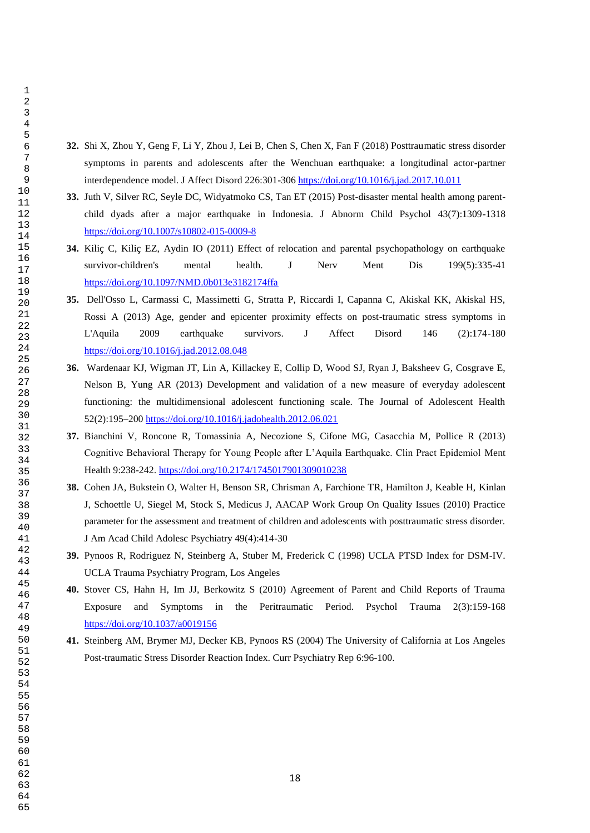- **32.** Shi X, Zhou Y, Geng F, Li Y, Zhou J, Lei B, Chen S, Chen X, Fan F (2018) Posttraumatic stress disorder symptoms in parents and adolescents after the Wenchuan earthquake: a longitudinal actor-partner interdependence model. J Affect Disord 226:301-306<https://doi.org/10.1016/j.jad.2017.10.011>
- **33.** Juth V, Silver RC, Seyle DC, Widyatmoko CS, Tan ET (2015) Post-disaster mental health among parentchild dyads after a major earthquake in Indonesia. J Abnorm Child Psychol 43(7):1309-1318 <https://doi.org/10.1007/s10802-015-0009-8>
- **34.** Kiliç C, Kiliç EZ, Aydin IO (2011) Effect of relocation and parental psychopathology on earthquake survivor-children's mental health. J Nerv Ment Dis 199(5):335-41 <https://doi.org/10.1097/NMD.0b013e3182174ffa>
- **35.** Dell'Osso L, Carmassi C, Massimetti G, Stratta P, Riccardi I, Capanna C, Akiskal KK, Akiskal HS, Rossi A (2013) Age, gender and epicenter proximity effects on post-traumatic stress symptoms in L'Aquila 2009 earthquake survivors. J Affect Disord 146 (2):174-180 <https://doi.org/10.1016/j.jad.2012.08.048>
- **36.** Wardenaar KJ, Wigman JT, Lin A, Killackey E, Collip D, Wood SJ, Ryan J, Baksheev G, Cosgrave E, Nelson B, Yung AR (2013) Development and validation of a new measure of everyday adolescent functioning: the multidimensional adolescent functioning scale. The Journal of Adolescent Health 52(2):195–200<https://doi.org/10.1016/j.jadohealth.2012.06.021>
- **37.** Bianchini V, Roncone R, Tomassinia A, Necozione S, Cifone MG, Casacchia M, Pollice R (2013) Cognitive Behavioral Therapy for Young People after L'Aquila Earthquake. Clin Pract Epidemiol Ment Health 9:238-242.<https://doi.org/10.2174/1745017901309010238>
- **38.** Cohen JA, Bukstein O, Walter H, Benson SR, Chrisman A, Farchione TR, Hamilton J, Keable H, Kinlan J, Schoettle U, Siegel M, Stock S, Medicus J, AACAP Work Group On Quality Issues (2010) Practice parameter for the assessment and treatment of children and adolescents with posttraumatic stress disorder. J Am Acad Child Adolesc Psychiatry 49(4):414-30
- **39.** Pynoos R, Rodriguez N, Steinberg A, Stuber M, Frederick C (1998) UCLA PTSD Index for DSM-IV. UCLA Trauma Psychiatry Program, Los Angeles
- **40.** Stover CS, Hahn H, Im JJ, Berkowitz S (2010) Agreement of Parent and Child Reports of Trauma Exposure and Symptoms in the Peritraumatic Period. Psychol Trauma 2(3):159-168 <https://doi.org/10.1037/a0019156>
- **41.** Steinberg AM, Brymer MJ, Decker KB, Pynoos RS (2004) The University of California at Los Angeles Post-traumatic Stress Disorder Reaction Index. Curr Psychiatry Rep 6:96-100.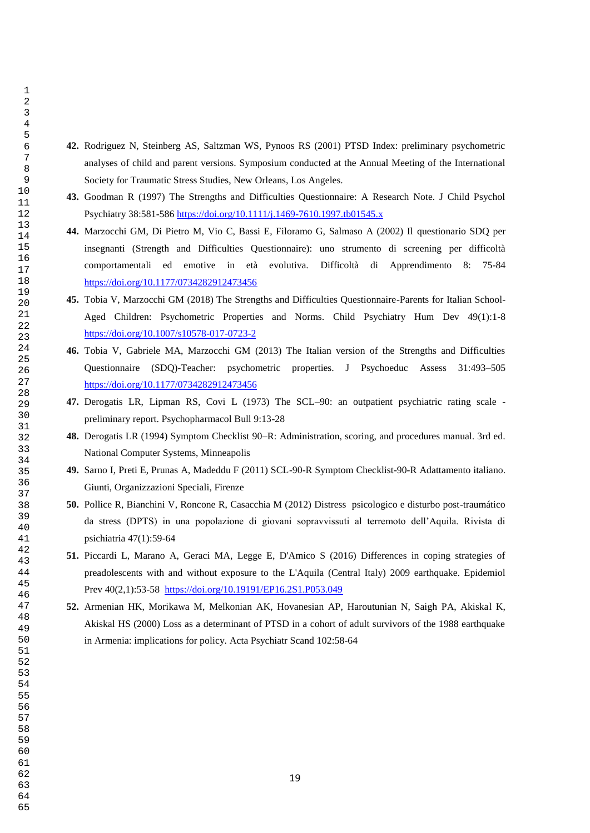- **42.** Rodriguez N, Steinberg AS, Saltzman WS, Pynoos RS (2001) PTSD Index: preliminary psychometric analyses of child and parent versions. Symposium conducted at the Annual Meeting of the International Society for Traumatic Stress Studies, New Orleans, Los Angeles.
- **43.** Goodman R (1997) The Strengths and Difficulties Questionnaire: A Research Note. J Child Psychol Psychiatry 38:581-586<https://doi.org/10.1111/j.1469-7610.1997.tb01545.x>
- **44.** Marzocchi GM, Di Pietro M, Vio C, Bassi E, Filoramo G, Salmaso A (2002) Il questionario SDQ per insegnanti (Strength and Difficulties Questionnaire): uno strumento di screening per difficoltà comportamentali ed emotive in età evolutiva. Difficoltà di Apprendimento 8: 75-84 <https://doi.org/10.1177/0734282912473456>
- **45.** Tobia V, Marzocchi GM (2018) The Strengths and Difficulties Questionnaire-Parents for Italian School-Aged Children: Psychometric Properties and Norms. Child Psychiatry Hum Dev 49(1):1-8 <https://doi.org/10.1007/s10578-017-0723-2>
- **46.** Tobia V, Gabriele MA, Marzocchi GM (2013) The Italian version of the Strengths and Difficulties Questionnaire (SDQ)-Teacher: psychometric properties. J Psychoeduc Assess 31:493–505 <https://doi.org/10.1177/0734282912473456>
- **47.** Derogatis LR, Lipman RS, Covi L (1973) The SCL–90: an outpatient psychiatric rating scale preliminary report. Psychopharmacol Bull 9:13-28
- **48.** Derogatis LR (1994) Symptom Checklist 90–R: Administration, scoring, and procedures manual. 3rd ed. National Computer Systems, Minneapolis
- **49.** Sarno I, Preti E, Prunas A, Madeddu F (2011) SCL-90-R Symptom Checklist-90-R Adattamento italiano. Giunti, Organizzazioni Speciali, Firenze
- **50.** Pollice R, Bianchini V, Roncone R, Casacchia M (2012) Distress psicologico e disturbo post-traumático da stress (DPTS) in una popolazione di giovani sopravvissuti al terremoto dell'Aquila. Rivista di psichiatria 47(1):59-64
- **51.** Piccardi L, Marano A, Geraci MA, Legge E, D'Amico S (2016) Differences in coping strategies of preadolescents with and without exposure to the L'Aquila (Central Italy) 2009 earthquake. Epidemiol Prev 40(2,1):53-58 <https://doi.org/10.19191/EP16.2S1.P053.049>
- **52.** Armenian HK, Morikawa M, Melkonian AK, Hovanesian AP, Haroutunian N, Saigh PA, Akiskal K, Akiskal HS (2000) Loss as a determinant of PTSD in a cohort of adult survivors of the 1988 earthquake in Armenia: implications for policy. Acta Psychiatr Scand 102:58-64